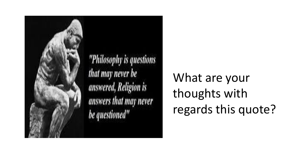

What are your thoughts with regards this quote?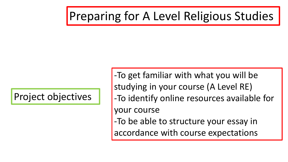### Preparing for A Level Religious Studies

Project objectives

-To get familiar with what you will be studying in your course (A Level RE) -To identify online resources available for your course -To be able to structure your essay in accordance with course expectations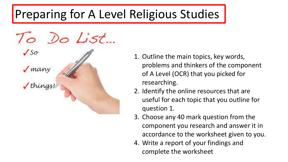## Preparing for A Level Religious Studies



- 1. Outline the main topics, key words, problems and thinkers of the component of A Level (OCR) that you picked for researching.
- 2. Identify the online resources that are useful for each topic that you outline for question 1.
- 3. Choose any 40 mark question from the component you research and answer it in accordance to the worksheet given to you.
- 4. Write a report of your findings and complete the worksheet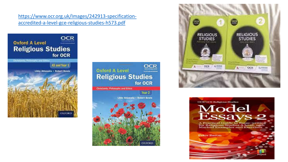[https://www.ocr.org.uk/Images/242913-specification](https://www.ocr.org.uk/Images/242913-specification-accredited-a-level-gce-religious-studies-h573.pdf)accredited-a-level-gce-religious-studies-h573.pdf







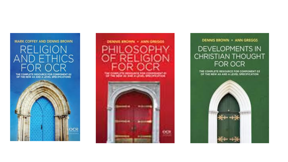### **MARK COFFEY AND DENNIS BROWN RELIGION ND ETHICS** Q

THE COMPLETE RESOURCE FOR COMPONENT 02<br>OF THE NEW AS AND A LEVEL SPECIFICATIONS





#### **DENNIS BROWN · ANN GREGGS DEVELOPMENTS IN CHRISTIAN THOUGHT** FOR OCR

THE COMPLETE RESOURCE FOR COMPONENT 03 OF THE NEW AS AND A LEVEL SPECIFICATION

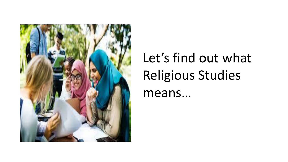

## Let's find out what Religious Studies means…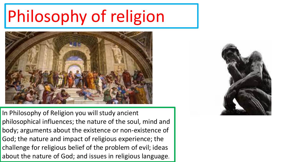# Philosophy of religion



In Philosophy of Religion you will study ancient philosophical influences; the nature of the soul, mind and body; arguments about the existence or non-existence of God; the nature and impact of religious experience; the challenge for religious belief of the problem of evil; ideas about the nature of God; and issues in religious language.

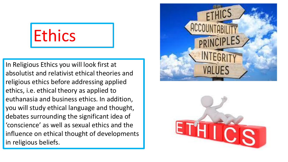# **Ethics**

In Religious Ethics you will look first at absolutist and relativist ethical theories and religious ethics before addressing applied ethics, i.e. ethical theory as applied to euthanasia and business ethics. In addition, you will study ethical language and thought, debates surrounding the significant idea of 'conscience' as well as sexual ethics and the influence on ethical thought of developments in religious beliefs.